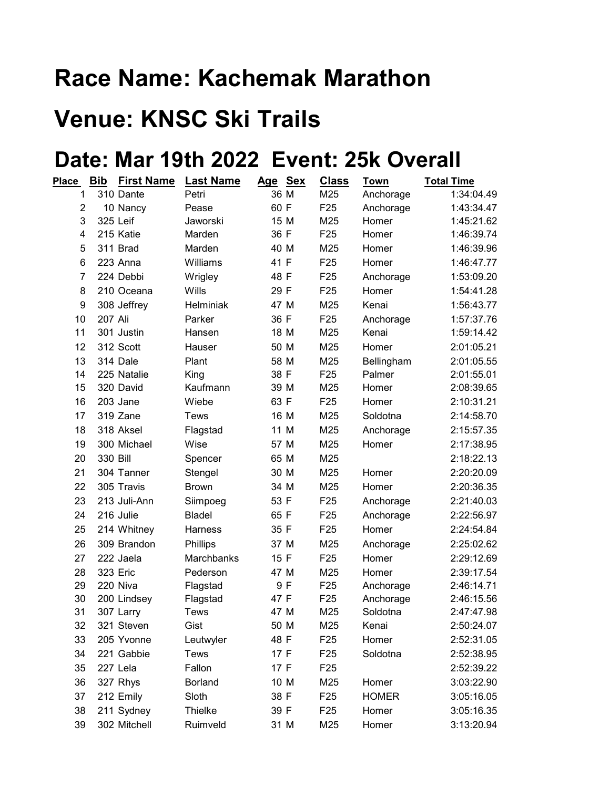## Race Name: Kachemak Marathon

## Venue: KNSC Ski Trails

## Date: Mar 19th 2022 Event: 25k Overall

| Place          | <u>Bib</u> | <b>First Name</b> | <b>Last Name</b> | Age Sex |      | <b>Class</b>    | Town         | <b>Total Time</b> |
|----------------|------------|-------------------|------------------|---------|------|-----------------|--------------|-------------------|
| 1              |            | 310 Dante         | Petri            |         | 36 M | M25             | Anchorage    | 1:34:04.49        |
| $\overline{2}$ |            | 10 Nancy          | Pease            | 60 F    |      | F <sub>25</sub> | Anchorage    | 1:43:34.47        |
| 3              |            | 325 Leif          | Jaworski         |         | 15 M | M25             | Homer        | 1:45:21.62        |
| 4              |            | 215 Katie         | Marden           | 36 F    |      | F <sub>25</sub> | Homer        | 1:46:39.74        |
| 5              |            | 311 Brad          | Marden           |         | 40 M | M25             | Homer        | 1:46:39.96        |
| 6              |            | 223 Anna          | Williams         | 41 F    |      | F <sub>25</sub> | Homer        | 1:46:47.77        |
| $\overline{7}$ |            | 224 Debbi         | Wrigley          | 48 F    |      | F <sub>25</sub> | Anchorage    | 1:53:09.20        |
| 8              |            | 210 Oceana        | Wills            | 29 F    |      | F <sub>25</sub> | Homer        | 1:54:41.28        |
| 9              |            | 308 Jeffrey       | Helminiak        |         | 47 M | M25             | Kenai        | 1:56:43.77        |
| 10             | 207 Ali    |                   | Parker           | 36 F    |      | F <sub>25</sub> | Anchorage    | 1:57:37.76        |
| 11             |            | 301 Justin        | Hansen           |         | 18 M | M25             | Kenai        | 1:59:14.42        |
| 12             |            | 312 Scott         | Hauser           |         | 50 M | M25             | Homer        | 2:01:05.21        |
| 13             |            | 314 Dale          | Plant            |         | 58 M | M25             | Bellingham   | 2:01:05.55        |
| 14             |            | 225 Natalie       | King             | 38 F    |      | F <sub>25</sub> | Palmer       | 2:01:55.01        |
| 15             |            | 320 David         | Kaufmann         |         | 39 M | M25             | Homer        | 2:08:39.65        |
| 16             |            | 203 Jane          | Wiebe            | 63 F    |      | F <sub>25</sub> | Homer        | 2:10:31.21        |
| 17             |            | 319 Zane          | Tews             |         | 16 M | M25             | Soldotna     | 2:14:58.70        |
| 18             |            | 318 Aksel         | Flagstad         |         | 11 M | M25             | Anchorage    | 2:15:57.35        |
| 19             |            | 300 Michael       | Wise             |         | 57 M | M25             | Homer        | 2:17:38.95        |
| 20             | 330 Bill   |                   | Spencer          |         | 65 M | M25             |              | 2:18:22.13        |
| 21             |            | 304 Tanner        | Stengel          |         | 30 M | M25             | Homer        | 2:20:20.09        |
| 22             |            | 305 Travis        | <b>Brown</b>     |         | 34 M | M25             | Homer        | 2:20:36.35        |
| 23             |            | 213 Juli-Ann      | Siimpoeg         | 53 F    |      | F <sub>25</sub> | Anchorage    | 2:21:40.03        |
| 24             |            | 216 Julie         | <b>Bladel</b>    | 65 F    |      | F <sub>25</sub> | Anchorage    | 2:22:56.97        |
| 25             |            | 214 Whitney       | Harness          | 35 F    |      | F <sub>25</sub> | Homer        | 2:24:54.84        |
| 26             |            | 309 Brandon       | Phillips         |         | 37 M | M25             | Anchorage    | 2:25:02.62        |
| 27             |            | 222 Jaela         | Marchbanks       | 15 F    |      | F <sub>25</sub> | Homer        | 2:29:12.69        |
| 28             |            | 323 Eric          | Pederson         |         | 47 M | M25             | Homer        | 2:39:17.54        |
| 29             |            | 220 Niva          | Flagstad         |         | 9 F  | F <sub>25</sub> | Anchorage    | 2:46:14.71        |
| 30             |            | 200 Lindsey       | Flagstad         | 47 F    |      | F <sub>25</sub> | Anchorage    | 2:46:15.56        |
| 31             |            | 307 Larry         | <b>Tews</b>      | 47 M    |      | M25             | Soldotna     | 2:47:47.98        |
| 32             |            | 321 Steven        | Gist             |         | 50 M | M25             | Kenai        | 2:50:24.07        |
| 33             |            | 205 Yvonne        | Leutwyler        | 48 F    |      | F <sub>25</sub> | Homer        | 2:52:31.05        |
| 34             |            | 221 Gabbie        | Tews             | 17 F    |      | F <sub>25</sub> | Soldotna     | 2:52:38.95        |
| 35             |            | 227 Lela          | Fallon           | 17 F    |      | F <sub>25</sub> |              | 2:52:39.22        |
| 36             |            | 327 Rhys          | <b>Borland</b>   |         | 10 M | M25             | Homer        | 3:03:22.90        |
| 37             |            | 212 Emily         | Sloth            | 38 F    |      | F <sub>25</sub> | <b>HOMER</b> | 3:05:16.05        |
| 38             |            | 211 Sydney        | Thielke          | 39 F    |      | F <sub>25</sub> | Homer        | 3:05:16.35        |
| 39             |            | 302 Mitchell      | Ruimveld         |         | 31 M | M25             | Homer        | 3:13:20.94        |